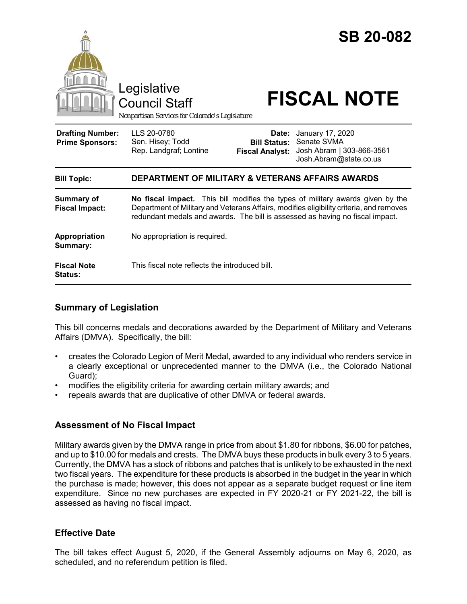

|                                      | Rep. Landgraf; Lontine                                                                                                                                                                                                                                     | <b>Fiscal Analyst:</b> | Josh Abram   303-866-3561<br>Josh.Abram@state.co.us |
|--------------------------------------|------------------------------------------------------------------------------------------------------------------------------------------------------------------------------------------------------------------------------------------------------------|------------------------|-----------------------------------------------------|
| <b>Bill Topic:</b>                   | <b>DEPARTMENT OF MILITARY &amp; VETERANS AFFAIRS AWARDS</b>                                                                                                                                                                                                |                        |                                                     |
| Summary of<br><b>Fiscal Impact:</b>  | No fiscal impact. This bill modifies the types of military awards given by the<br>Department of Military and Veterans Affairs, modifies eligibility criteria, and removes<br>redundant medals and awards. The bill is assessed as having no fiscal impact. |                        |                                                     |
| Appropriation<br>Summary:            | No appropriation is required.                                                                                                                                                                                                                              |                        |                                                     |
| <b>Fiscal Note</b><br><b>Status:</b> | This fiscal note reflects the introduced bill.                                                                                                                                                                                                             |                        |                                                     |

## **Summary of Legislation**

This bill concerns medals and decorations awarded by the Department of Military and Veterans Affairs (DMVA). Specifically, the bill:

- creates the Colorado Legion of Merit Medal, awarded to any individual who renders service in a clearly exceptional or unprecedented manner to the DMVA (i.e., the Colorado National Guard);
- modifies the eligibility criteria for awarding certain military awards; and
- repeals awards that are duplicative of other DMVA or federal awards.

### **Assessment of No Fiscal Impact**

Military awards given by the DMVA range in price from about \$1.80 for ribbons, \$6.00 for patches, and up to \$10.00 for medals and crests. The DMVA buys these products in bulk every 3 to 5 years. Currently, the DMVA has a stock of ribbons and patches that is unlikely to be exhausted in the next two fiscal years. The expenditure for these products is absorbed in the budget in the year in which the purchase is made; however, this does not appear as a separate budget request or line item expenditure. Since no new purchases are expected in FY 2020-21 or FY 2021-22, the bill is assessed as having no fiscal impact.

### **Effective Date**

The bill takes effect August 5, 2020, if the General Assembly adjourns on May 6, 2020, as scheduled, and no referendum petition is filed.